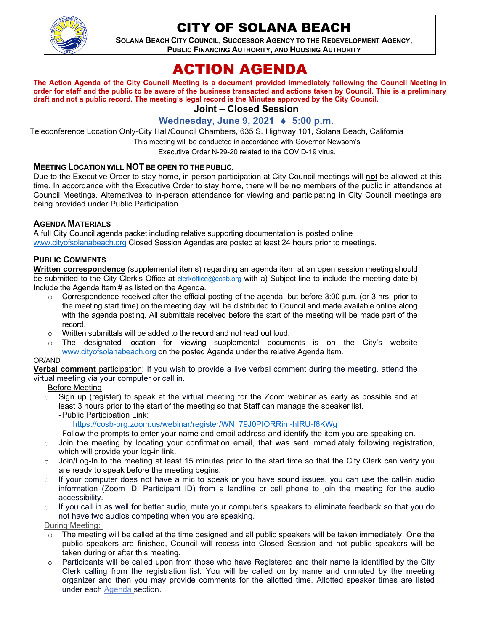

## CITY OF SOLANA BEACH

**SOLANA BEACH CITY COUNCIL, SUCCESSOR AGENCY TO THE REDEVELOPMENT AGENCY, PUBLIC FINANCING AUTHORITY, AND HOUSING AUTHORITY** 

# ACTION AGENDA

#### **The Action Agenda of the City Council Meeting is a document provided immediately following the Council Meeting in order for staff and the public to be aware of the business transacted and actions taken by Council. This is a preliminary draft and not a public record. The meeting's legal record is the Minutes approved by the City Council.**

**Joint – Closed Session**

#### **Wednesday, June 9, 2021** ♦ **5:00 p.m.**

Teleconference Location Only-City Hall/Council Chambers, 635 S. Highway 101, Solana Beach, California

This meeting will be conducted in accordance with Governor Newsom's

Executive Order N-29-20 related to the COVID-19 virus.

#### **MEETING LOCATION WILL NOT BE OPEN TO THE PUBLIC.**

Due to the Executive Order to stay home, in person participation at City Council meetings will **no**t be allowed at this time. In accordance with the Executive Order to stay home, there will be **no** members of the public in attendance at Council Meetings. Alternatives to in-person attendance for viewing and participating in City Council meetings are being provided under Public Participation.

#### **AGENDA MATERIALS**

A full City Council agenda packet including relative supporting documentation is posted online [www.cityofsolanabeach.org](https://urldefense.proofpoint.com/v2/url?u=http-3A__www.cityofsolanabeach.org&d=DwQFAg&c=euGZstcaTDllvimEN8b7jXrwqOf-v5A_CdpgnVfiiMM&r=1XAsCUuqwK_tji2t0s1uIQ&m=wny2RVfZJ2tN24LkqZmkUWNpwL_peNtTZUBlTBZiMM4&s=6ATguqxJUOD7VVtloplAbyuyNaVcEh6Fl4q1iw55lCY&e=) Closed Session Agendas are posted at least 24 hours prior to meetings.

#### **PUBLIC COMMENTS**

**Written correspondence** (supplemental items) regarding an agenda item at an open session meeting should be submitted to the City Clerk's Office at [clerkoffice@cosb.org](mailto:clerkoffice@cosb.org) with a) Subject line to include the meeting date b) Include the Agenda Item # as listed on the Agenda.

- $\circ$  Correspondence received after the official posting of the agenda, but before 3:00 p.m. (or 3 hrs. prior to the meeting start time) on the meeting day, will be distributed to Council and made available online along with the agenda posting. All submittals received before the start of the meeting will be made part of the record.
- o Written submittals will be added to the record and not read out loud.
- o The designated location for viewing supplemental documents is on the City's website [www.cityofsolanabeach.org](http://www.cityofsolanabeach.org/) on the posted Agenda under the relative Agenda Item.

#### OR/AND

**Verbal comment** participation: If you wish to provide a live verbal comment during the meeting, attend the virtual meeting via your computer or call in.

#### Before Meeting

 $\circ$  Sign up (register) to speak at the virtual meeting for the Zoom webinar as early as possible and at least 3 hours prior to the start of the meeting so that Staff can manage the speaker list. -Public Participation Link:

[https://cosb-org.zoom.us/webinar/register/WN\\_79J0PIORRim-hIRU-f6KWg](https://cosb-org.zoom.us/webinar/register/WN_79J0PIORRim-hIRU-f6KWg)

- -Follow the prompts to enter your name and email address and identify the item you are speaking on.
- o Join the meeting by locating your confirmation email, that was sent immediately following registration, which will provide your log-in link.
- $\circ$  Join/Log-In to the meeting at least 15 minutes prior to the start time so that the City Clerk can verify you are ready to speak before the meeting begins.
- $\circ$  If your computer does not have a mic to speak or you have sound issues, you can use the call-in audio information (Zoom ID, Participant ID) from a landline or cell phone to join the meeting for the audio accessibility.
- If you call in as well for better audio, mute your computer's speakers to eliminate feedback so that you do not have two audios competing when you are speaking.

During Meeting:

- $\circ$  The meeting will be called at the time designed and all public speakers will be taken immediately. One the public speakers are finished, Council will recess into Closed Session and not public speakers will be taken during or after this meeting.
- Participants will be called upon from those who have Registered and their name is identified by the City Clerk calling from the registration list. You will be called on by name and unmuted by the meeting organizer and then you may provide comments for the allotted time. Allotted speaker times are listed under each [Agenda s](https://urldefense.proofpoint.com/v2/url?u=https-3A__www.ci.solana-2Dbeach.ca.us_index.asp-3FSEC-3DF0F1200D-2D21C6-2D4A88-2D8AE1-2D0BC07C1A81A7-26Type-3DB-5FBASIC&d=DwMFaQ&c=euGZstcaTDllvimEN8b7jXrwqOf-v5A_CdpgnVfiiMM&r=1XAsCUuqwK_tji2t0s1uIQ&m=C7WzXfOw2_nkEFMJClT55zZsF4tmIf_7KTn0o1WpYqI&s=3DcsWExM2_nx_xpvFtXslUjphiXd0MDCCF18y_Qy5yU&e=)ection.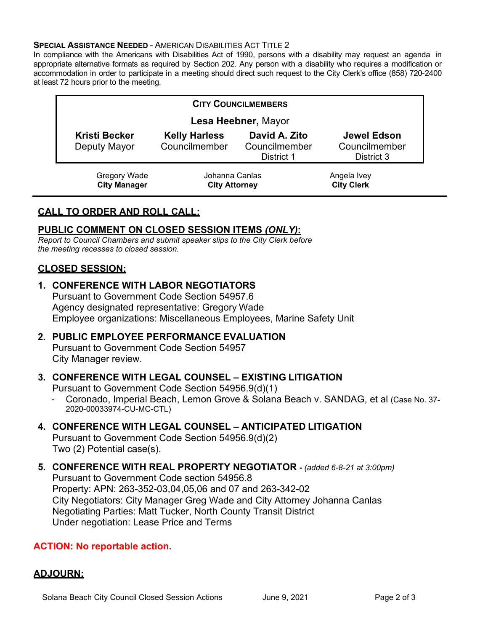#### **SPECIAL ASSISTANCE NEEDED - AMERICAN DISABILITIES ACT TITLE 2**

In compliance with the Americans with Disabilities Act of 1990, persons with a disability may request an agenda in appropriate alternative formats as required by Section 202. Any person with a disability who requires a modification or accommodation in order to participate in a meeting should direct such request to the City Clerk's office (858) 720-2400 at least 72 hours prior to the meeting.

| <b>CITY COUNCILMEMBERS</b>           |                                        |                                              |                                            |
|--------------------------------------|----------------------------------------|----------------------------------------------|--------------------------------------------|
| Lesa Heebner, Mayor                  |                                        |                                              |                                            |
| <b>Kristi Becker</b><br>Deputy Mayor | <b>Kelly Harless</b><br>Councilmember  | David A. Zito<br>Councilmember<br>District 1 | Jewel Edson<br>Councilmember<br>District 3 |
| Gregory Wade<br><b>City Manager</b>  | Johanna Canlas<br><b>City Attorney</b> |                                              | Angela Ivey<br><b>City Clerk</b>           |

## **CALL TO ORDER AND ROLL CALL:**

## **PUBLIC COMMENT ON CLOSED SESSION ITEMS** *(ONLY)***:**

*Report to Council Chambers and submit speaker slips to the City Clerk before the meeting recesses to closed session.*

## **CLOSED SESSION:**

## **1. CONFERENCE WITH LABOR NEGOTIATORS**

Pursuant to Government Code Section 54957.6 Agency designated representative: Gregory Wade Employee organizations: Miscellaneous Employees, Marine Safety Unit

## **2. PUBLIC EMPLOYEE PERFORMANCE EVALUATION** Pursuant to Government Code Section 54957

City Manager review.

## **3. CONFERENCE WITH LEGAL COUNSEL – EXISTING LITIGATION**

Pursuant to Government Code Section 54956.9(d)(1)

- Coronado, Imperial Beach, Lemon Grove & Solana Beach v. SANDAG, et al (Case No. 37- 2020-00033974-CU-MC-CTL)

#### **4. CONFERENCE WITH LEGAL COUNSEL – ANTICIPATED LITIGATION** Pursuant to Government Code Section 54956.9(d)(2) Two (2) Potential case(s).

## **5. CONFERENCE WITH REAL PROPERTY NEGOTIATOR -** *(added 6-8-21 at 3:00pm)* Pursuant to Government Code section 54956.8 Property: APN: 263-352-03,04,05,06 and 07 and 263-342-02 City Negotiators: City Manager Greg Wade and City Attorney Johanna Canlas Negotiating Parties: Matt Tucker, North County Transit District Under negotiation: Lease Price and Terms

## **ACTION: No reportable action.**

## **ADJOURN:**